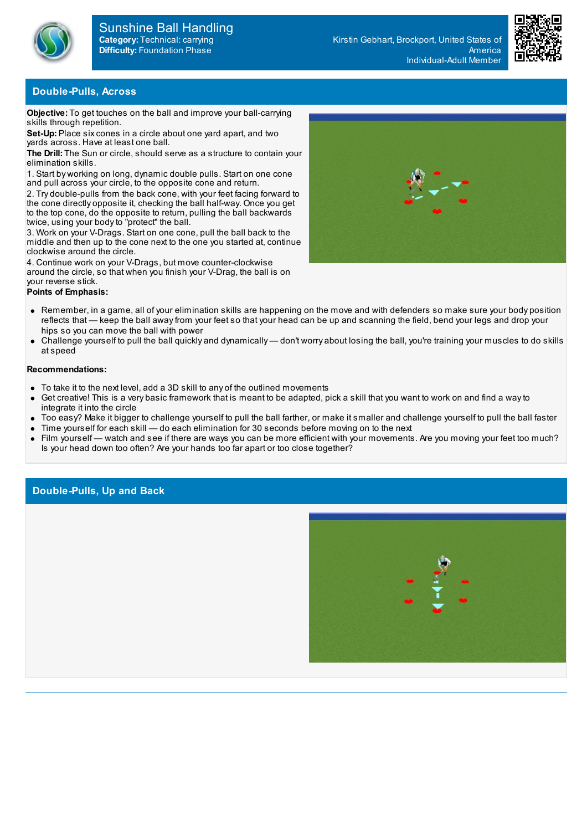



### **Double-Pulls, Across**

**Objective:** To get touches on the ball and improve your ball-carrying skills through repetition.

**Set-Up:** Place six cones in a circle about one yard apart, and two yards across. Have at least one ball.

**The Drill:** The Sun or circle, should serve as a structure to contain your elimination skills.

1. Start by working on long, dynamic double pulls. Start on one cone and pull across your circle, to the opposite cone and return.

2. Try double-pulls from the back cone, with your feet facing forward to the cone directly opposite it, checking the ball half-way. Once you get to the top cone, do the opposite to return, pulling the ball backwards twice, using your bodyto "protect" the ball.

3. Work on your V-Drags. Start on one cone, pull the ball back to the middle and then up to the cone next to the one you started at, continue clockwise around the circle.

4. Continue work on your V-Drags, but move counter-clockwise around the circle, so that when you finish your V-Drag, the ball is on your reverse stick.

## **Points of Emphasis:**

- Remember, in a game, all of your elimination skills are happening on the move and with defenders so make sure your body position reflects that — keep the ball awayfrom your feet so that your head can be up and scanning the field, bend your legs and drop your hips so you can move the ball with power
- Challenge yourself to pull the ball quickly and dynamically don't worry about losing the ball, you're training your muscles to do skills at speed

#### **Recommendations:**

- To take it to the next level, add a 3D skill to any of the outlined movements
- Get creative! This is a very basic framework that is meant to be adapted, pick a skill that you want to work on and find a wayto integrate it into the circle
- Too easy? Make it bigger to challenge yourself to pull the ball farther, or make it smaller and challenge yourself to pull the ball faster
- Time yourself for each skill do each elimination for 30 seconds before moving on to the next
- Film yourself watch and see if there are ways you can be more efficient with your movements. Are you moving your feet too much? Is your head down too often? Are your hands too far apart or too close together?

## **Double-Pulls, Up and Back**